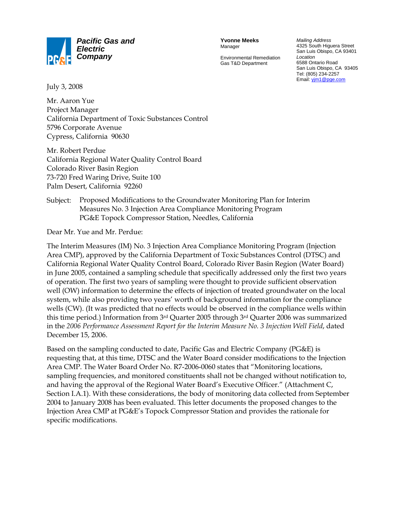

**Yvonne Meeks** Manager

Environmental Remediation Gas T&D Department

*Mailing Address* 4325 South Higuera Street San Luis Obispo, CA 93401 *Location* 6588 Ontario Road San Luis Obispo, CA 93405 Tel: (805) 234-2257 Email: yjm1@pge.com

July 3, 2008

Mr. Aaron Yue Project Manager California Department of Toxic Substances Control 5796 Corporate Avenue Cypress, California 90630

Mr. Robert Perdue California Regional Water Quality Control Board Colorado River Basin Region 73-720 Fred Waring Drive, Suite 100 Palm Desert, California 92260

### Subject: Proposed Modifications to the Groundwater Monitoring Plan for Interim Measures No. 3 Injection Area Compliance Monitoring Program PG&E Topock Compressor Station, Needles, California

Dear Mr. Yue and Mr. Perdue:

The Interim Measures (IM) No. 3 Injection Area Compliance Monitoring Program (Injection Area CMP), approved by the California Department of Toxic Substances Control (DTSC) and California Regional Water Quality Control Board, Colorado River Basin Region (Water Board) in June 2005, contained a sampling schedule that specifically addressed only the first two years of operation. The first two years of sampling were thought to provide sufficient observation well (OW) information to determine the effects of injection of treated groundwater on the local system, while also providing two years' worth of background information for the compliance wells (CW). (It was predicted that no effects would be observed in the compliance wells within this time period.) Information from  $3^{rd}$  Quarter 2005 through  $3^{rd}$  Quarter 2006 was summarized in the *2006 Performance Assessment Report for the Interim Measure No. 3 Injection Well Field*, dated December 15, 2006.

Based on the sampling conducted to date, Pacific Gas and Electric Company (PG&E) is requesting that, at this time, DTSC and the Water Board consider modifications to the Injection Area CMP. The Water Board Order No. R7-2006-0060 states that "Monitoring locations, sampling frequencies, and monitored constituents shall not be changed without notification to, and having the approval of the Regional Water Board's Executive Officer." (Attachment C, Section I.A.1). With these considerations, the body of monitoring data collected from September 2004 to January 2008 has been evaluated. This letter documents the proposed changes to the Injection Area CMP at PG&E's Topock Compressor Station and provides the rationale for specific modifications.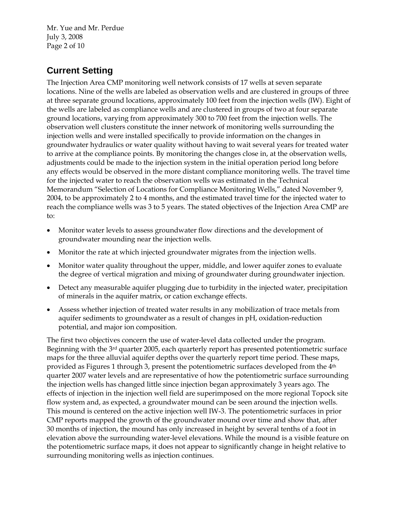Mr. Yue and Mr. Perdue July 3, 2008 Page 2 of 10

# **Current Setting**

The Injection Area CMP monitoring well network consists of 17 wells at seven separate locations. Nine of the wells are labeled as observation wells and are clustered in groups of three at three separate ground locations, approximately 100 feet from the injection wells (IW). Eight of the wells are labeled as compliance wells and are clustered in groups of two at four separate ground locations, varying from approximately 300 to 700 feet from the injection wells. The observation well clusters constitute the inner network of monitoring wells surrounding the injection wells and were installed specifically to provide information on the changes in groundwater hydraulics or water quality without having to wait several years for treated water to arrive at the compliance points. By monitoring the changes close in, at the observation wells, adjustments could be made to the injection system in the initial operation period long before any effects would be observed in the more distant compliance monitoring wells. The travel time for the injected water to reach the observation wells was estimated in the Technical Memorandum "Selection of Locations for Compliance Monitoring Wells," dated November 9, 2004, to be approximately 2 to 4 months, and the estimated travel time for the injected water to reach the compliance wells was 3 to 5 years. The stated objectives of the Injection Area CMP are to:

- Monitor water levels to assess groundwater flow directions and the development of groundwater mounding near the injection wells.
- Monitor the rate at which injected groundwater migrates from the injection wells.
- Monitor water quality throughout the upper, middle, and lower aquifer zones to evaluate the degree of vertical migration and mixing of groundwater during groundwater injection.
- Detect any measurable aquifer plugging due to turbidity in the injected water, precipitation of minerals in the aquifer matrix, or cation exchange effects.
- Assess whether injection of treated water results in any mobilization of trace metals from aquifer sediments to groundwater as a result of changes in pH, oxidation-reduction potential, and major ion composition.

The first two objectives concern the use of water-level data collected under the program. Beginning with the 3rd quarter 2005, each quarterly report has presented potentiometric surface maps for the three alluvial aquifer depths over the quarterly report time period. These maps, provided as Figures 1 through 3, present the potentiometric surfaces developed from the  $4<sup>th</sup>$ quarter 2007 water levels and are representative of how the potentiometric surface surrounding the injection wells has changed little since injection began approximately 3 years ago. The effects of injection in the injection well field are superimposed on the more regional Topock site flow system and, as expected, a groundwater mound can be seen around the injection wells. This mound is centered on the active injection well IW-3. The potentiometric surfaces in prior CMP reports mapped the growth of the groundwater mound over time and show that, after 30 months of injection, the mound has only increased in height by several tenths of a foot in elevation above the surrounding water-level elevations. While the mound is a visible feature on the potentiometric surface maps, it does not appear to significantly change in height relative to surrounding monitoring wells as injection continues.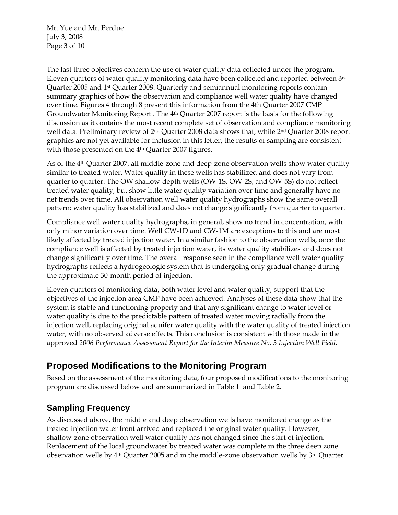Mr. Yue and Mr. Perdue July 3, 2008 Page 3 of 10

The last three objectives concern the use of water quality data collected under the program. Eleven quarters of water quality monitoring data have been collected and reported between 3rd Quarter 2005 and 1st Quarter 2008. Quarterly and semiannual monitoring reports contain summary graphics of how the observation and compliance well water quality have changed over time. Figures 4 through 8 present this information from the 4th Quarter 2007 CMP Groundwater Monitoring Report . The 4<sup>th</sup> Quarter 2007 report is the basis for the following discussion as it contains the most recent complete set of observation and compliance monitoring well data. Preliminary review of 2<sup>nd</sup> Quarter 2008 data shows that, while 2<sup>nd</sup> Quarter 2008 report graphics are not yet available for inclusion in this letter, the results of sampling are consistent with those presented on the 4<sup>th</sup> Quarter 2007 figures.

As of the 4th Quarter 2007, all middle-zone and deep-zone observation wells show water quality similar to treated water. Water quality in these wells has stabilized and does not vary from quarter to quarter. The OW shallow-depth wells (OW-1S, OW-2S, and OW-5S) do not reflect treated water quality, but show little water quality variation over time and generally have no net trends over time. All observation well water quality hydrographs show the same overall pattern: water quality has stabilized and does not change significantly from quarter to quarter.

Compliance well water quality hydrographs, in general, show no trend in concentration, with only minor variation over time. Well CW-1D and CW-1M are exceptions to this and are most likely affected by treated injection water. In a similar fashion to the observation wells, once the compliance well is affected by treated injection water, its water quality stabilizes and does not change significantly over time. The overall response seen in the compliance well water quality hydrographs reflects a hydrogeologic system that is undergoing only gradual change during the approximate 30-month period of injection.

Eleven quarters of monitoring data, both water level and water quality, support that the objectives of the injection area CMP have been achieved. Analyses of these data show that the system is stable and functioning properly and that any significant change to water level or water quality is due to the predictable pattern of treated water moving radially from the injection well, replacing original aquifer water quality with the water quality of treated injection water, with no observed adverse effects. This conclusion is consistent with those made in the approved *2006 Performance Assessment Report for the Interim Measure No. 3 Injection Well Field*.

# **Proposed Modifications to the Monitoring Program**

Based on the assessment of the monitoring data, four proposed modifications to the monitoring program are discussed below and are summarized in Table 1 and Table 2.

## **Sampling Frequency**

As discussed above, the middle and deep observation wells have monitored change as the treated injection water front arrived and replaced the original water quality. However, shallow-zone observation well water quality has not changed since the start of injection. Replacement of the local groundwater by treated water was complete in the three deep zone observation wells by  $4<sup>th</sup>$  Quarter 2005 and in the middle-zone observation wells by  $3<sup>rd</sup>$  Quarter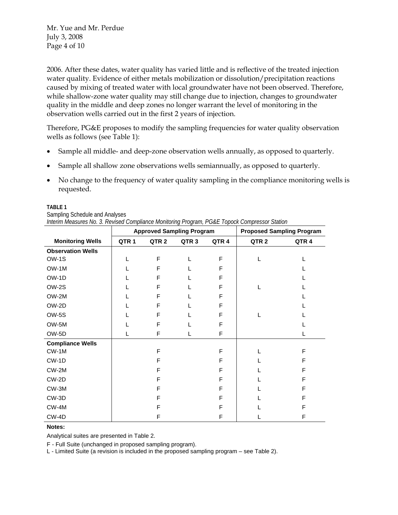Mr. Yue and Mr. Perdue July 3, 2008 Page 4 of 10

2006. After these dates, water quality has varied little and is reflective of the treated injection water quality. Evidence of either metals mobilization or dissolution/precipitation reactions caused by mixing of treated water with local groundwater have not been observed. Therefore, while shallow-zone water quality may still change due to injection, changes to groundwater quality in the middle and deep zones no longer warrant the level of monitoring in the observation wells carried out in the first 2 years of injection.

Therefore, PG&E proposes to modify the sampling frequencies for water quality observation wells as follows (see Table 1):

- Sample all middle- and deep-zone observation wells annually, as opposed to quarterly.
- Sample all shallow zone observations wells semiannually, as opposed to quarterly.
- No change to the frequency of water quality sampling in the compliance monitoring wells is requested.

#### **TABLE 1**

|                                | Approved Sampling Program                                                                     | <b>Proposed Sampling Pro</b> |
|--------------------------------|-----------------------------------------------------------------------------------------------|------------------------------|
|                                | Interim Measures No. 3. Revised Compliance Monitoring Program, PG&E Topock Compressor Station |                              |
| Sampling Schedule and Analyses |                                                                                               |                              |
| 1895 L                         |                                                                                               |                              |

|                          | <b>Approved Sampling Program</b> |                  |                  |                  |                  | <b>Proposed Sampling Program</b> |
|--------------------------|----------------------------------|------------------|------------------|------------------|------------------|----------------------------------|
| <b>Monitoring Wells</b>  | QTR <sub>1</sub>                 | QTR <sub>2</sub> | QTR <sub>3</sub> | QTR <sub>4</sub> | QTR <sub>2</sub> | QTR <sub>4</sub>                 |
| <b>Observation Wells</b> |                                  |                  |                  |                  |                  |                                  |
| OW-1S                    |                                  | F                | L                | F                |                  |                                  |
| OW-1M                    |                                  | F                |                  | F                |                  |                                  |
| OW-1D                    |                                  | F                |                  | F                |                  |                                  |
| OW-2S                    |                                  | F                | L                | F                |                  |                                  |
| OW-2M                    |                                  | F                |                  | F                |                  |                                  |
| OW-2D                    |                                  | F                |                  | F                |                  |                                  |
| OW-5S                    |                                  | F                |                  | F                |                  |                                  |
| OW-5M                    |                                  | F                |                  | F                |                  |                                  |
| OW-5D                    |                                  | F                | L                | F                |                  |                                  |
| <b>Compliance Wells</b>  |                                  |                  |                  |                  |                  |                                  |
| $CW-1M$                  |                                  | F                |                  | F                |                  | F                                |
| CW-1D                    |                                  | F                |                  | F                |                  | F                                |
| $CW-2M$                  |                                  | F                |                  | F                |                  | F                                |
| CW-2D                    |                                  | F                |                  | F                |                  | F                                |
| CW-3M                    |                                  | F                |                  | F                |                  | F                                |
| CW-3D                    |                                  | F                |                  | F                |                  | F                                |
| CW-4M                    |                                  | F                |                  | F                |                  | F                                |
| CW-4D                    |                                  | F                |                  | F                |                  | F                                |

#### **Notes:**

Analytical suites are presented in Table 2.

F - Full Suite (unchanged in proposed sampling program).

L - Limited Suite (a revision is included in the proposed sampling program – see Table 2).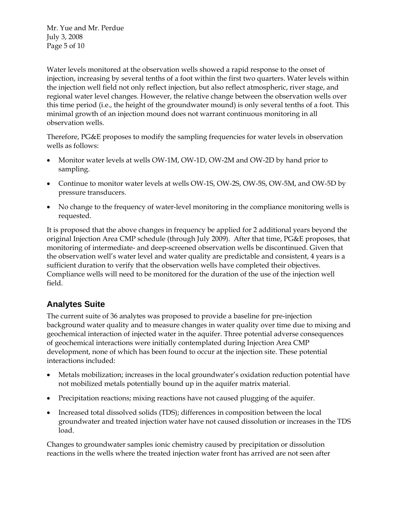Mr. Yue and Mr. Perdue July 3, 2008 Page 5 of 10

Water levels monitored at the observation wells showed a rapid response to the onset of injection, increasing by several tenths of a foot within the first two quarters. Water levels within the injection well field not only reflect injection, but also reflect atmospheric, river stage, and regional water level changes. However, the relative change between the observation wells over this time period (i.e., the height of the groundwater mound) is only several tenths of a foot. This minimal growth of an injection mound does not warrant continuous monitoring in all observation wells.

Therefore, PG&E proposes to modify the sampling frequencies for water levels in observation wells as follows:

- Monitor water levels at wells OW-1M, OW-1D, OW-2M and OW-2D by hand prior to sampling.
- Continue to monitor water levels at wells OW-1S, OW-2S, OW-5S, OW-5M, and OW-5D by pressure transducers.
- No change to the frequency of water-level monitoring in the compliance monitoring wells is requested.

It is proposed that the above changes in frequency be applied for 2 additional years beyond the original Injection Area CMP schedule (through July 2009). After that time, PG&E proposes, that monitoring of intermediate- and deep-screened observation wells be discontinued. Given that the observation well's water level and water quality are predictable and consistent, 4 years is a sufficient duration to verify that the observation wells have completed their objectives. Compliance wells will need to be monitored for the duration of the use of the injection well field.

### **Analytes Suite**

The current suite of 36 analytes was proposed to provide a baseline for pre-injection background water quality and to measure changes in water quality over time due to mixing and geochemical interaction of injected water in the aquifer. Three potential adverse consequences of geochemical interactions were initially contemplated during Injection Area CMP development, none of which has been found to occur at the injection site. These potential interactions included:

- Metals mobilization; increases in the local groundwater's oxidation reduction potential have not mobilized metals potentially bound up in the aquifer matrix material.
- Precipitation reactions; mixing reactions have not caused plugging of the aquifer.
- Increased total dissolved solids (TDS); differences in composition between the local groundwater and treated injection water have not caused dissolution or increases in the TDS load.

Changes to groundwater samples ionic chemistry caused by precipitation or dissolution reactions in the wells where the treated injection water front has arrived are not seen after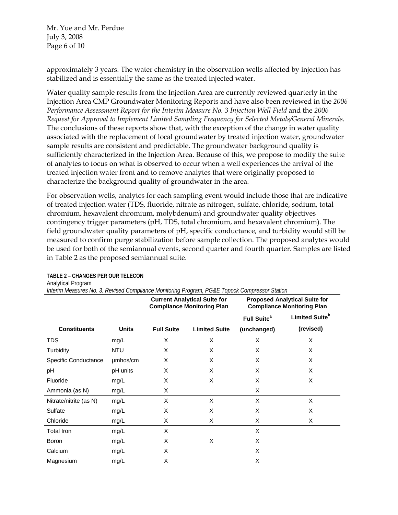Mr. Yue and Mr. Perdue July 3, 2008 Page 6 of 10

approximately 3 years. The water chemistry in the observation wells affected by injection has stabilized and is essentially the same as the treated injected water.

Water quality sample results from the Injection Area are currently reviewed quarterly in the Injection Area CMP Groundwater Monitoring Reports and have also been reviewed in the *2006 Performance Assessment Report for the Interim Measure No. 3 Injection Well Field and the 2006 Request for Approval to Implement Limited Sampling Frequency for Selected Metals/General Minerals*. The conclusions of these reports show that, with the exception of the change in water quality associated with the replacement of local groundwater by treated injection water, groundwater sample results are consistent and predictable. The groundwater background quality is sufficiently characterized in the Injection Area. Because of this, we propose to modify the suite of analytes to focus on what is observed to occur when a well experiences the arrival of the treated injection water front and to remove analytes that were originally proposed to characterize the background quality of groundwater in the area.

For observation wells, analytes for each sampling event would include those that are indicative of treated injection water (TDS, fluoride, nitrate as nitrogen, sulfate, chloride, sodium, total chromium, hexavalent chromium, molybdenum) and groundwater quality objectives contingency trigger parameters (pH, TDS, total chromium, and hexavalent chromium). The field groundwater quality parameters of pH, specific conductance, and turbidity would still be measured to confirm purge stabilization before sample collection. The proposed analytes would be used for both of the semiannual events, second quarter and fourth quarter. Samples are listed in Table 2 as the proposed semiannual suite.

|                        |              | <u>michin mcasures ivu. J. Kevised Cumpilance mumumiy Fruyiam, FG&amp;L Tupuck Cumpressur Jianum</u><br><b>Current Analytical Suite for</b><br><b>Compliance Monitoring Plan</b> |                      | <b>Proposed Analytical Suite for</b><br><b>Compliance Monitoring Plan</b> |                            |  |
|------------------------|--------------|----------------------------------------------------------------------------------------------------------------------------------------------------------------------------------|----------------------|---------------------------------------------------------------------------|----------------------------|--|
|                        |              |                                                                                                                                                                                  |                      | Full Suite <sup>a</sup>                                                   | Limited Suite <sup>b</sup> |  |
| <b>Constituents</b>    | <b>Units</b> | <b>Full Suite</b>                                                                                                                                                                | <b>Limited Suite</b> | (unchanged)                                                               | (revised)                  |  |
| <b>TDS</b>             | mg/L         | X                                                                                                                                                                                | X                    | X                                                                         | X                          |  |
| Turbidity              | <b>NTU</b>   | X                                                                                                                                                                                | X                    | X                                                                         | X                          |  |
| Specific Conductance   | umhos/cm     | X                                                                                                                                                                                | X                    | X                                                                         | X                          |  |
| рH                     | pH units     | X                                                                                                                                                                                | X                    | X                                                                         | X                          |  |
| Fluoride               | mg/L         | X                                                                                                                                                                                | X                    | X                                                                         | X                          |  |
| Ammonia (as N)         | mg/L         | X                                                                                                                                                                                |                      | X                                                                         |                            |  |
| Nitrate/nitrite (as N) | mg/L         | X                                                                                                                                                                                | X                    | X                                                                         | X                          |  |
| Sulfate                | mg/L         | X                                                                                                                                                                                | X                    | X                                                                         | X                          |  |
| Chloride               | mg/L         | X                                                                                                                                                                                | X                    | X                                                                         | X                          |  |
| Total Iron             | mg/L         | X                                                                                                                                                                                |                      | X                                                                         |                            |  |
| Boron                  | mg/L         | X                                                                                                                                                                                | X                    | X                                                                         |                            |  |
| Calcium                | mg/L         | X                                                                                                                                                                                |                      | X                                                                         |                            |  |
| Magnesium              | mg/L         | X                                                                                                                                                                                |                      | X                                                                         |                            |  |

**TABLE 2 – CHANGES PER OUR TELECON** Analytical Program

*Interim Measures No. 3. Revised Compliance Monitoring Program, PG&E Topock Compressor Station*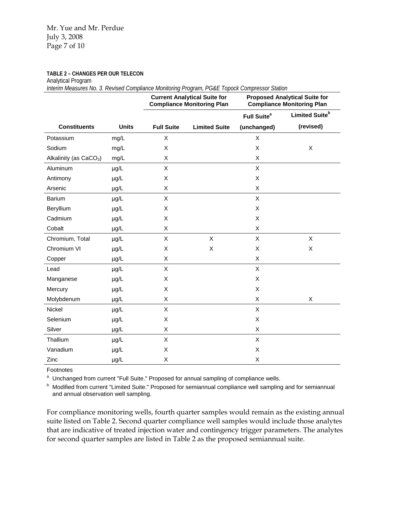**TABLE 2 – CHANGES PER OUR TELECON**

Analytical Program

*Interim Measures No. 3. Revised Compliance Monitoring Program, PG&E Topock Compressor Station*

|                                    |              | <b>Current Analytical Suite for</b><br><b>Compliance Monitoring Plan</b> |                      | <b>Proposed Analytical Suite for</b><br><b>Compliance Monitoring Plan</b> |                            |  |
|------------------------------------|--------------|--------------------------------------------------------------------------|----------------------|---------------------------------------------------------------------------|----------------------------|--|
|                                    |              |                                                                          |                      | Full Suite <sup>a</sup>                                                   | Limited Suite <sup>b</sup> |  |
| <b>Constituents</b>                | <b>Units</b> | <b>Full Suite</b>                                                        | <b>Limited Suite</b> | (unchanged)                                                               | (revised)                  |  |
| Potassium                          | mg/L         | X                                                                        |                      | X                                                                         |                            |  |
| Sodium                             | mg/L         | X                                                                        |                      | X                                                                         | X                          |  |
| Alkalinity (as CaCO <sub>3</sub> ) | mg/L         | X                                                                        |                      | X                                                                         |                            |  |
| Aluminum                           | µg/L         | X                                                                        |                      | X                                                                         |                            |  |
| Antimony                           | $\mu$ g/L    | X                                                                        |                      | X                                                                         |                            |  |
| Arsenic                            | µg/L         | X                                                                        |                      | X                                                                         |                            |  |
| Barium                             | µg/L         | X                                                                        |                      | X                                                                         |                            |  |
| Beryllium                          | µg/L         | X                                                                        |                      | X                                                                         |                            |  |
| Cadmium                            | $\mu$ g/L    | X                                                                        |                      | X                                                                         |                            |  |
| Cobalt                             | µg/L         | X                                                                        |                      | X                                                                         |                            |  |
| Chromium, Total                    | µg/L         | X                                                                        | $\pmb{\times}$       | X                                                                         | $\mathsf{X}$               |  |
| Chromium VI                        | µg/L         | X                                                                        | X                    | X                                                                         | X                          |  |
| Copper                             | $\mu$ g/L    | X                                                                        |                      | X                                                                         |                            |  |
| Lead                               | µg/L         | $\mathsf X$                                                              |                      | X                                                                         |                            |  |
| Manganese                          | µg/L         | X                                                                        |                      | X                                                                         |                            |  |
| Mercury                            | $\mu$ g/L    | X                                                                        |                      | X                                                                         |                            |  |
| Molybdenum                         | µg/L         | X                                                                        |                      | X                                                                         | X                          |  |
| Nickel                             | µg/L         | $\sf X$                                                                  |                      | X                                                                         |                            |  |
| Selenium                           | $\mu$ g/L    | X                                                                        |                      | X                                                                         |                            |  |
| Silver                             | µg/L         | X                                                                        |                      | X                                                                         |                            |  |
| Thallium                           | µg/L         | $\mathsf X$                                                              |                      | X                                                                         |                            |  |
| Vanadium                           | µg/L         | Χ                                                                        |                      | X                                                                         |                            |  |
| Zinc                               | µg/L         | X                                                                        |                      | X                                                                         |                            |  |

Footnotes

a Unchanged from current "Full Suite." Proposed for annual sampling of compliance wells.<br><sup>b</sup>. Modified from current "Limited Suite." Proposed for comicnaugh compliance well complian

**b** Modified from current "Limited Suite." Proposed for semiannual compliance well sampling and for semiannual and annual observation well sampling.

For compliance monitoring wells, fourth quarter samples would remain as the existing annual suite listed on Table 2. Second quarter compliance well samples would include those analytes that are indicative of treated injection water and contingency trigger parameters. The analytes for second quarter samples are listed in Table 2 as the proposed semiannual suite.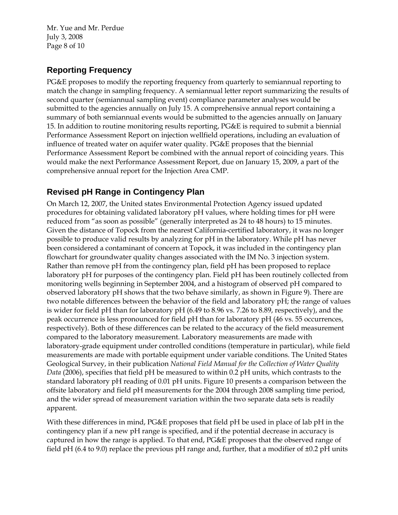Mr. Yue and Mr. Perdue July 3, 2008 Page 8 of 10

## **Reporting Frequency**

PG&E proposes to modify the reporting frequency from quarterly to semiannual reporting to match the change in sampling frequency. A semiannual letter report summarizing the results of second quarter (semiannual sampling event) compliance parameter analyses would be submitted to the agencies annually on July 15. A comprehensive annual report containing a summary of both semiannual events would be submitted to the agencies annually on January 15. In addition to routine monitoring results reporting, PG&E is required to submit a biennial Performance Assessment Report on injection wellfield operations, including an evaluation of influence of treated water on aquifer water quality. PG&E proposes that the biennial Performance Assessment Report be combined with the annual report of coinciding years. This would make the next Performance Assessment Report, due on January 15, 2009, a part of the comprehensive annual report for the Injection Area CMP.

### **Revised pH Range in Contingency Plan**

On March 12, 2007, the United states Environmental Protection Agency issued updated procedures for obtaining validated laboratory pH values, where holding times for pH were reduced from "as soon as possible" (generally interpreted as 24 to 48 hours) to 15 minutes. Given the distance of Topock from the nearest California-certified laboratory, it was no longer possible to produce valid results by analyzing for pH in the laboratory. While pH has never been considered a contaminant of concern at Topock, it was included in the contingency plan flowchart for groundwater quality changes associated with the IM No. 3 injection system. Rather than remove pH from the contingency plan, field pH has been proposed to replace laboratory pH for purposes of the contingency plan. Field pH has been routinely collected from monitoring wells beginning in September 2004, and a histogram of observed pH compared to observed laboratory pH shows that the two behave similarly, as shown in Figure 9). There are two notable differences between the behavior of the field and laboratory pH; the range of values is wider for field pH than for laboratory pH (6.49 to 8.96 vs. 7.26 to 8.89, respectively), and the peak occurrence is less pronounced for field pH than for laboratory pH (46 vs. 55 occurrences, respectively). Both of these differences can be related to the accuracy of the field measurement compared to the laboratory measurement. Laboratory measurements are made with laboratory-grade equipment under controlled conditions (temperature in particular), while field measurements are made with portable equipment under variable conditions. The United States Geological Survey, in their publication *National Field Manual for the Collection of Water Quality Data* (2006), specifies that field pH be measured to within 0.2 pH units, which contrasts to the standard laboratory pH reading of 0.01 pH units. Figure 10 presents a comparison between the offsite laboratory and field pH measurements for the 2004 through 2008 sampling time period, and the wider spread of measurement variation within the two separate data sets is readily apparent.

With these differences in mind, PG&E proposes that field pH be used in place of lab pH in the contingency plan if a new pH range is specified, and if the potential decrease in accuracy is captured in how the range is applied. To that end, PG&E proposes that the observed range of field pH (6.4 to 9.0) replace the previous pH range and, further, that a modifier of ±0.2 pH units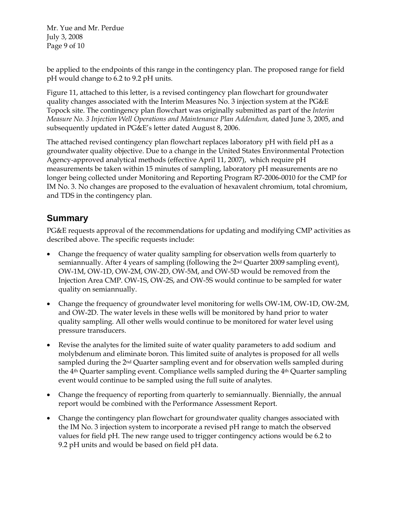Mr. Yue and Mr. Perdue July 3, 2008 Page 9 of 10

be applied to the endpoints of this range in the contingency plan. The proposed range for field pH would change to 6.2 to 9.2 pH units.

Figure 11, attached to this letter, is a revised contingency plan flowchart for groundwater quality changes associated with the Interim Measures No. 3 injection system at the PG&E Topock site. The contingency plan flowchart was originally submitted as part of the *Interim Measure No. 3 Injection Well Operations and Maintenance Plan Addendum,* dated June 3, 2005, and subsequently updated in PG&E's letter dated August 8, 2006.

The attached revised contingency plan flowchart replaces laboratory pH with field pH as a groundwater quality objective. Due to a change in the United States Environmental Protection Agency-approved analytical methods (effective April 11, 2007), which require pH measurements be taken within 15 minutes of sampling, laboratory pH measurements are no longer being collected under Monitoring and Reporting Program R7-2006-0010 for the CMP for IM No. 3. No changes are proposed to the evaluation of hexavalent chromium, total chromium, and TDS in the contingency plan.

## **Summary**

PG&E requests approval of the recommendations for updating and modifying CMP activities as described above. The specific requests include:

- Change the frequency of water quality sampling for observation wells from quarterly to semiannually. After 4 years of sampling (following the  $2<sup>nd</sup>$  Quarter 2009 sampling event), OW-1M, OW-1D, OW-2M, OW-2D, OW-5M, and OW-5D would be removed from the Injection Area CMP. OW-1S, OW-2S, and OW-5S would continue to be sampled for water quality on semiannually.
- Change the frequency of groundwater level monitoring for wells OW-1M, OW-1D, OW-2M, and OW-2D. The water levels in these wells will be monitored by hand prior to water quality sampling. All other wells would continue to be monitored for water level using pressure transducers.
- Revise the analytes for the limited suite of water quality parameters to add sodium and molybdenum and eliminate boron. This limited suite of analytes is proposed for all wells sampled during the 2<sup>nd</sup> Quarter sampling event and for observation wells sampled during the  $4<sup>th</sup>$  Quarter sampling event. Compliance wells sampled during the  $4<sup>th</sup>$  Quarter sampling event would continue to be sampled using the full suite of analytes.
- Change the frequency of reporting from quarterly to semiannually. Biennially, the annual report would be combined with the Performance Assessment Report.
- Change the contingency plan flowchart for groundwater quality changes associated with the IM No. 3 injection system to incorporate a revised pH range to match the observed values for field pH. The new range used to trigger contingency actions would be 6.2 to 9.2 pH units and would be based on field pH data.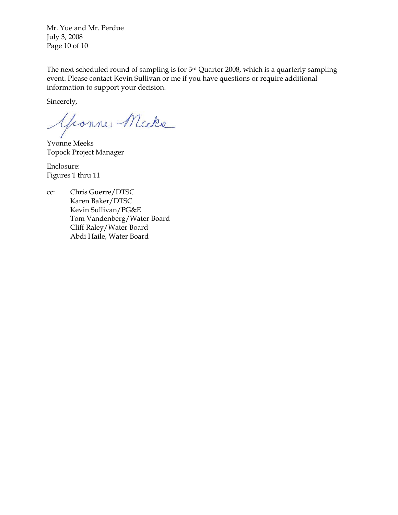Mr. Yue and Mr. Perdue July 3, 2008 Page 10 of 10

The next scheduled round of sampling is for 3rd Quarter 2008, which is a quarterly sampling event. Please contact Kevin Sullivan or me if you have questions or require additional information to support your decision.

Sincerely,

Yronne Micke

Yvonne Meeks Topock Project Manager

Enclosure: Figures 1 thru 11

cc: Chris Guerre/DTSC Karen Baker/DTSC Kevin Sullivan/PG&E Tom Vandenberg/Water Board Cliff Raley/Water Board Abdi Haile, Water Board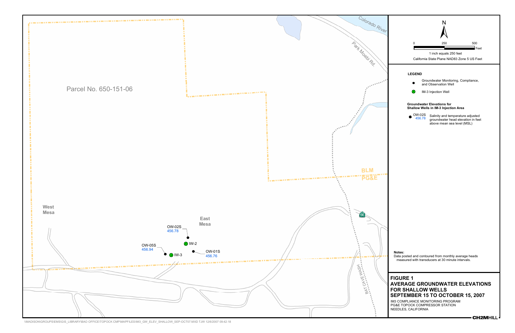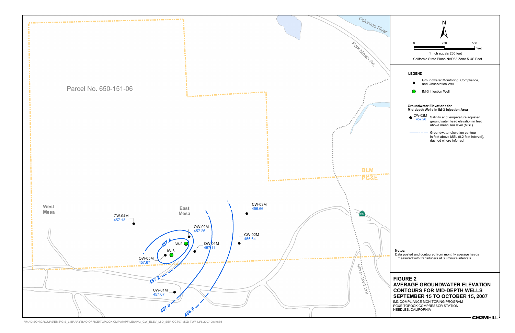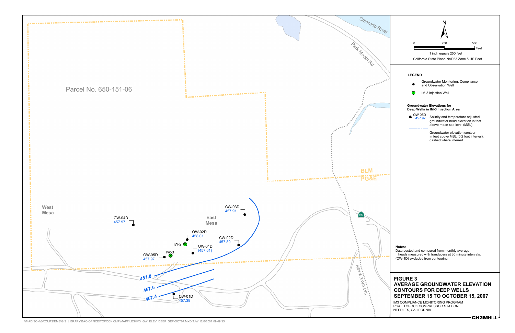

\\MADISON\GROUPS\EMS\GIS\_LIBRARY\BAO OFFICE\TOPOCK CMP\MAPFILES\IM3\_GW\_ELEV\_DEEP\_SEP-OCT07.MXD TJW 12/6/2007 09:49:35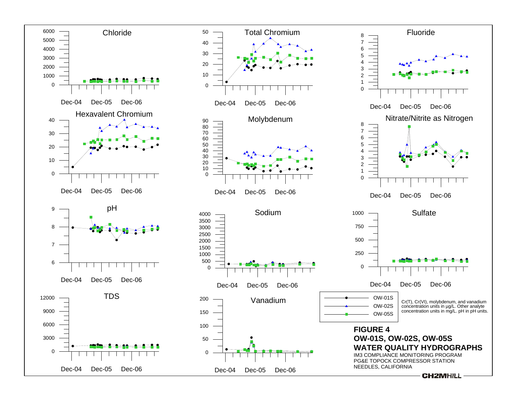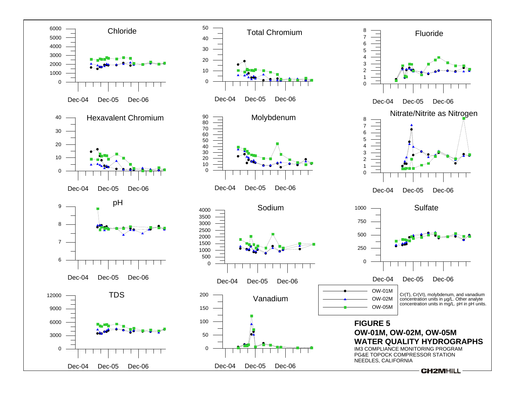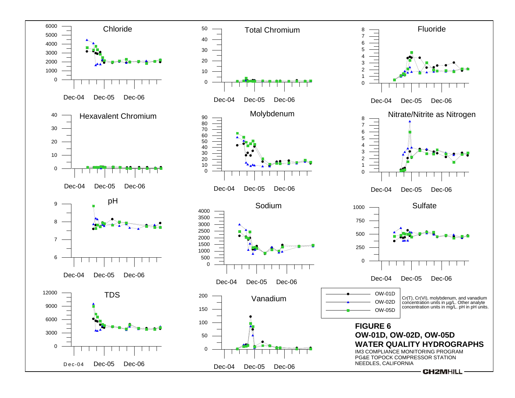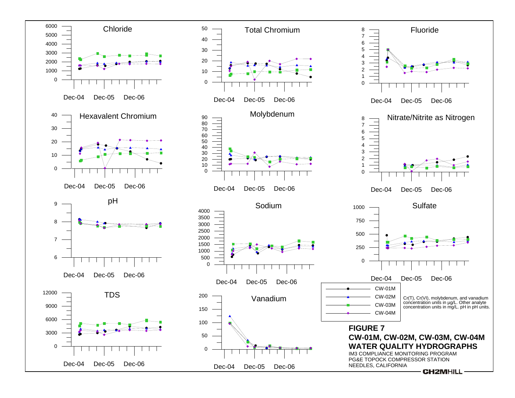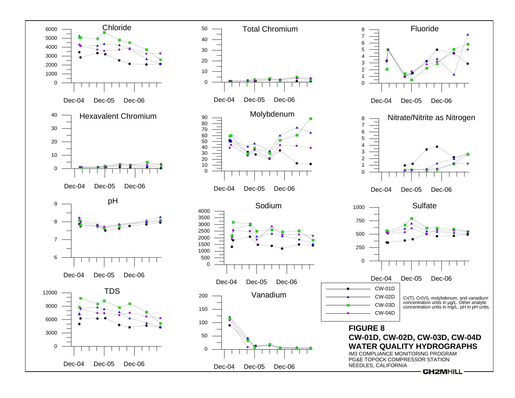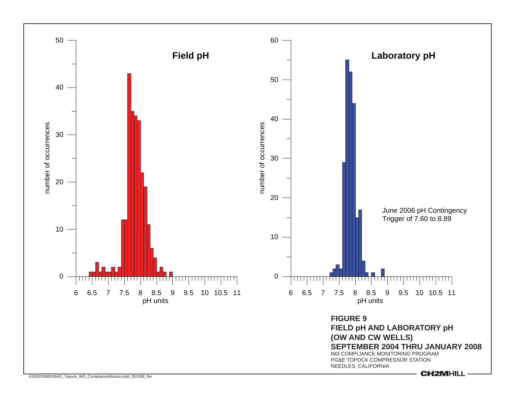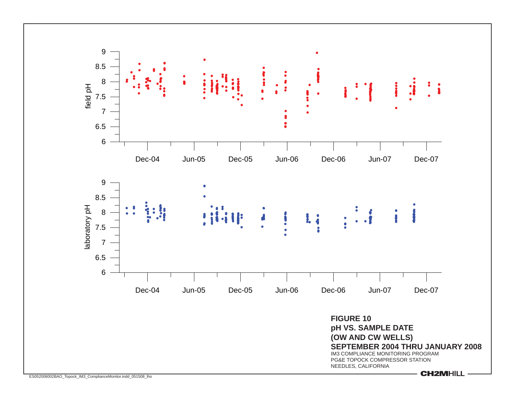